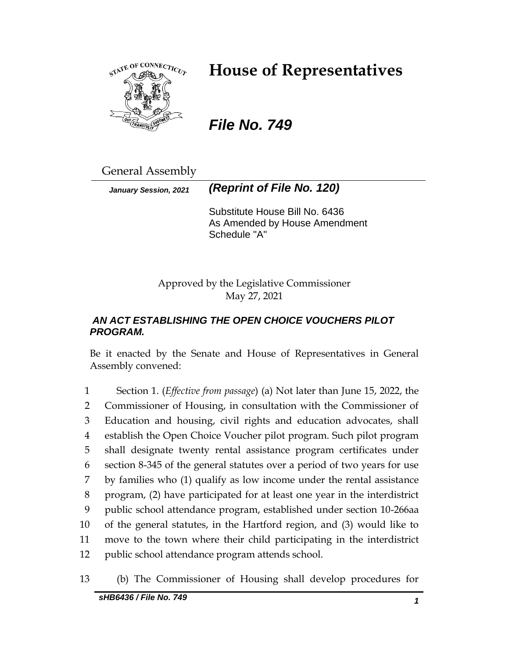

# **House of Representatives**

*File No. 749*

General Assembly

*January Session, 2021 (Reprint of File No. 120)*

Substitute House Bill No. 6436 As Amended by House Amendment Schedule "A"

Approved by the Legislative Commissioner May 27, 2021

# *AN ACT ESTABLISHING THE OPEN CHOICE VOUCHERS PILOT PROGRAM.*

Be it enacted by the Senate and House of Representatives in General Assembly convened:

 Section 1. (*Effective from passage*) (a) Not later than June 15, 2022, the Commissioner of Housing, in consultation with the Commissioner of Education and housing, civil rights and education advocates, shall establish the Open Choice Voucher pilot program. Such pilot program shall designate twenty rental assistance program certificates under section 8-345 of the general statutes over a period of two years for use by families who (1) qualify as low income under the rental assistance program, (2) have participated for at least one year in the interdistrict public school attendance program, established under section 10-266aa of the general statutes, in the Hartford region, and (3) would like to move to the town where their child participating in the interdistrict public school attendance program attends school.

13 (b) The Commissioner of Housing shall develop procedures for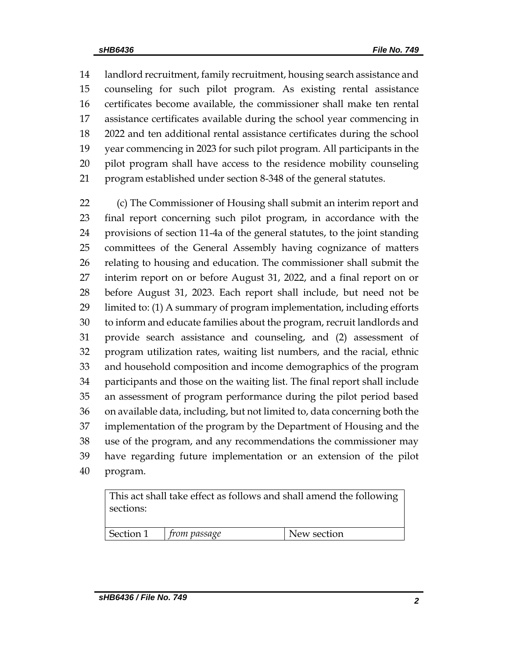landlord recruitment, family recruitment, housing search assistance and counseling for such pilot program. As existing rental assistance certificates become available, the commissioner shall make ten rental assistance certificates available during the school year commencing in 2022 and ten additional rental assistance certificates during the school year commencing in 2023 for such pilot program. All participants in the pilot program shall have access to the residence mobility counseling program established under section 8-348 of the general statutes.

 (c) The Commissioner of Housing shall submit an interim report and final report concerning such pilot program, in accordance with the provisions of section 11-4a of the general statutes, to the joint standing committees of the General Assembly having cognizance of matters relating to housing and education. The commissioner shall submit the interim report on or before August 31, 2022, and a final report on or before August 31, 2023. Each report shall include, but need not be limited to: (1) A summary of program implementation, including efforts to inform and educate families about the program, recruit landlords and provide search assistance and counseling, and (2) assessment of program utilization rates, waiting list numbers, and the racial, ethnic and household composition and income demographics of the program participants and those on the waiting list. The final report shall include an assessment of program performance during the pilot period based on available data, including, but not limited to, data concerning both the implementation of the program by the Department of Housing and the use of the program, and any recommendations the commissioner may have regarding future implementation or an extension of the pilot program.

This act shall take effect as follows and shall amend the following sections:

| Section 1<br>Jew section<br><i>from passage</i> |  |  |
|-------------------------------------------------|--|--|
|                                                 |  |  |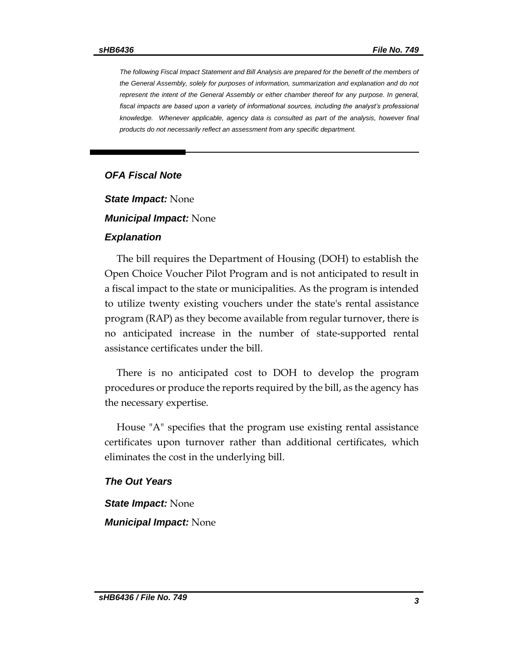*The following Fiscal Impact Statement and Bill Analysis are prepared for the benefit of the members of the General Assembly, solely for purposes of information, summarization and explanation and do not represent the intent of the General Assembly or either chamber thereof for any purpose. In general, fiscal impacts are based upon a variety of informational sources, including the analyst's professional knowledge. Whenever applicable, agency data is consulted as part of the analysis, however final products do not necessarily reflect an assessment from any specific department.*

## *OFA Fiscal Note*

*State Impact:* None

#### *Municipal Impact:* None

#### *Explanation*

The bill requires the Department of Housing (DOH) to establish the Open Choice Voucher Pilot Program and is not anticipated to result in a fiscal impact to the state or municipalities. As the program is intended to utilize twenty existing vouchers under the state's rental assistance program (RAP) as they become available from regular turnover, there is no anticipated increase in the number of state-supported rental assistance certificates under the bill.

There is no anticipated cost to DOH to develop the program procedures or produce the reports required by the bill, as the agency has the necessary expertise.

House "A" specifies that the program use existing rental assistance certificates upon turnover rather than additional certificates, which eliminates the cost in the underlying bill.

### *The Out Years*

*State Impact:* None

*Municipal Impact:* None